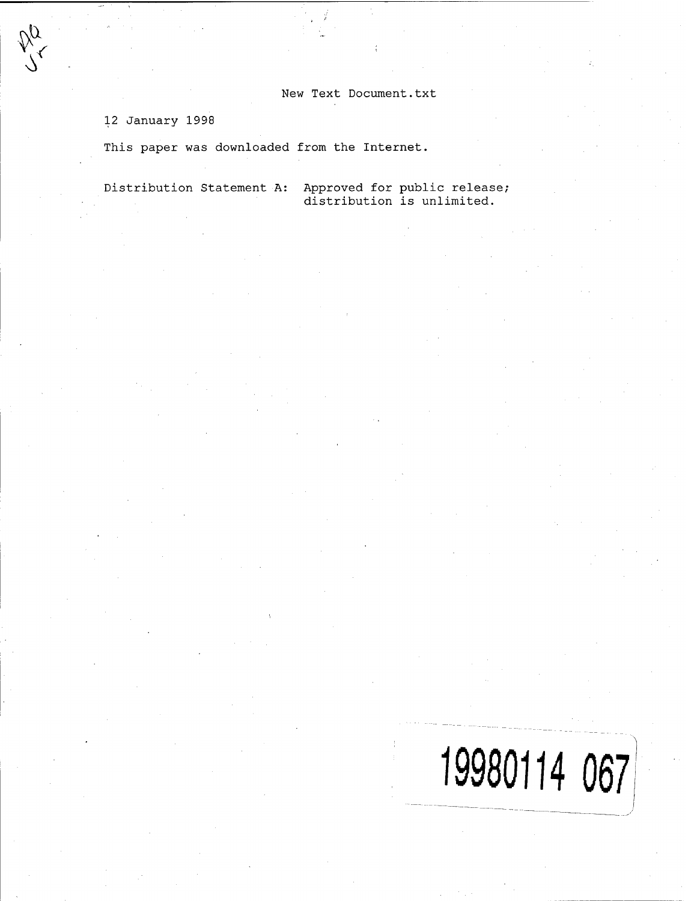New Text Document.txt

12 January 1998

**\$**  $\sqrt{}$ 

**.11** *<*

This paper was downloaded from the Internet.

Distribution Statement A: Approved for public release; distribution is unlimited.

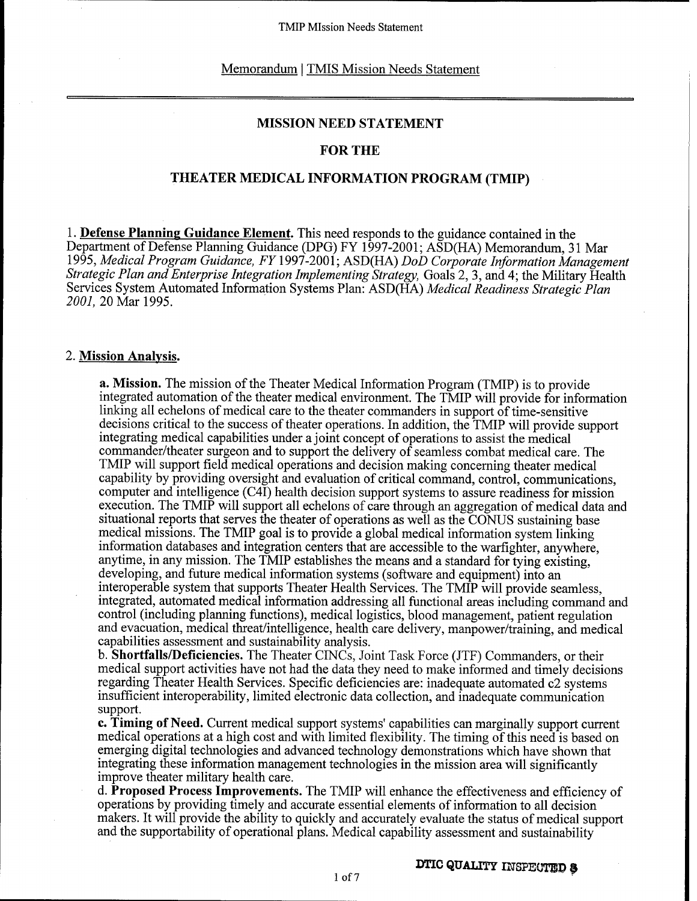#### Memorandum | TMIS Mission Needs Statement

#### **MISSION NEED STATEMENT**

## **FOR THE**

### **THEATER MEDICAL INFORMATION PROGRAM (TMIP)**

**1. Defense Planning Guidance Element.** This need responds to the guidance contained in the Department of Defense Planning Guidance (DPG) FY 1997-2001; ASD(HA) Memorandum, 31 Mar 1995, *Medical Program Guidance, FY\* 997-2001; ASD(HA) *DoD Corporate Information Management Strategic Plan and Enterprise Integration Implementing Strategy,* Goals 2, 3, and 4; the Military Health Services System Automated Information Systems Plan: ASD(HA) *Medical Readiness Strategic Plan 2001,20* Mar 1995.

#### 2. **Mission Analysis.**

**a. Mission.** The mission of the Theater Medical Information Program (TMIP) is to provide integrated automation of the theater medical environment. The TMIP will provide for information linking all echelons of medical care to the theater commanders in support of time-sensitive decisions critical to the success of theater operations. In addition, the TMIP will provide support integrating medical capabilities under a joint concept of operations to assist the medical commander/theater surgeon and to support the delivery of seamless combat medical care. The TMIP will support field medical operations and decision making concerning theater medical capability by providing oversight and evaluation of critical command, control, communications, computer and intelligence (C4I) health decision support systems to assure readiness for mission execution. The TMIP will support all echelons of care through an aggregation of medical data and situational reports that serves the theater of operations as well as the CONUS sustaining base medical missions. The TMIP goal is to provide a global medical information system linking information databases and integration centers that are accessible to the warfighter, anywhere, anytime, in any mission. The TMIP establishes the means and a standard for tying existing, developing, and future medical information systems (software and equipment) into an interoperable system that supports Theater Health Services. The TMIP will provide seamless, integrated, automated medical information addressing all functional areas including command and control (including planning functions), medical logistics, blood management, patient regulation and evacuation, medical threat/intelligence, health care delivery, manpower/training, and medical capabilities assessment and sustainability analysis.

b. **Shortfalls/Deficiencies.** The Theater CINCs, Joint Task Force (JTF) Commanders, or their medical support activities have not had the data they need to make informed and timely decisions regarding Theater Health Services. Specific deficiencies are: inadequate automated c2 systems insufficient interoperability, limited electronic data collection, and inadequate communication support.

**c. Timing of Need.** Current medical support systems' capabilities can marginally support current medical operations at a high cost and with limited flexibility. The timing of this need is based on emerging digital technologies and advanced technology demonstrations which have shown that integrating these information management technologies in the mission area will significantly improve theater military health care.

d. **Proposed Process Improvements.** The TMIP will enhance the effectiveness and efficiency of operations by providing timely and accurate essential elements ofinformation to all decision makers. It will provide the ability to quickly and accurately evaluate the status of medical support and the supportability of operational plans. Medical capability assessment and sustainability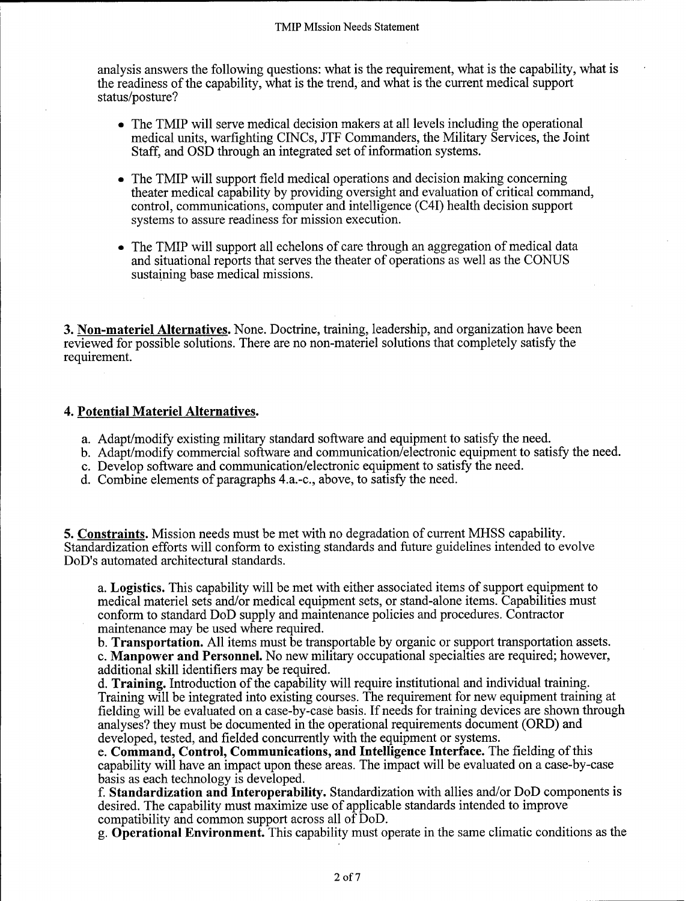analysis answers the following questions: what is the requirement, what is the capability, what is the readiness ofthe capability, what is the trend, and what is the current medical support status/posture?

- The TMIP will serve medical decision makers at all levels including the operational medical units, warfighting CINCs, JTF Commanders, the Military Services, the Joint Staff, and OSD through an integrated set of information systems.
- The TMIP will support field medical operations and decision making concerning theater medical capability by providing oversight and evaluation of critical command, control, communications, computer and intelligence (C4I) health decision support systems to assure readiness for mission execution.
- The TMIP will support all echelons of care through an aggregation of medical data and situational reports that serves the theater of operations as well as the CONUS sustaining base medical missions.

3. **Non-materiel Alternatives.** None. Doctrine, training, leadership, and organization have been reviewed for possible solutions. There are no non-materiel solutions that completely satisfy the requirement.

## **4. Potential Materiel Alternatives.**

- a. Adapt/modify existing military standard software and equipment to satisfy the need.
- b. Adapt/modify commercial software and communication/electronic equipment to satisfy the need.
- c. Develop software and communication/electronic equipment to satisfy the need.
- d. Combine elements of paragraphs 4.a.-c, above, to satisfy the need.

5. **Constraints.** Mission needs must be met with no degradation of current MHSS capability. Standardization efforts will conform to existing standards and future guidelines intended to evolve DoD's automated architectural standards.

a. **Logistics.** This capability will be met with either associated items of support equipment to medical materiel sets and/or medical equipment sets, or stand-alone items. Capabilities must conform to standard DoD supply and maintenance policies and procedures. Contractor maintenance may be used where required.

b. **Transportation.** All items must be transportable by organic or support transportation assets. c. **Manpower and Personnel.** No new military occupational specialties are required; however, additional skill identifiers may be required.

d. Training. Introduction of the capability will require institutional and individual training. Training will be integrated into existing courses. The requirement for new equipment training at fielding will be evaluated on a case-by-case basis. If needs for training devices are shown through analyses? they must be documented in the operational requirements document (ORD) and developed, tested, and fielded concurrently with the equipment or systems.

e. **Command, Control, Communications, and Intelligence Interface.** The fielding ofthis capability will have an impact upon these areas. The impact will be evaluated on a case-by-case basis as each technology is developed.

f. **Standardization and Interoperability.** Standardization with allies and/or DoD components is desired. The capability must maximize use of applicable standards intended to improve compatibility and common support across all of DoD.

g. **Operational Environment.** This capability must operate in the same climatic conditions as the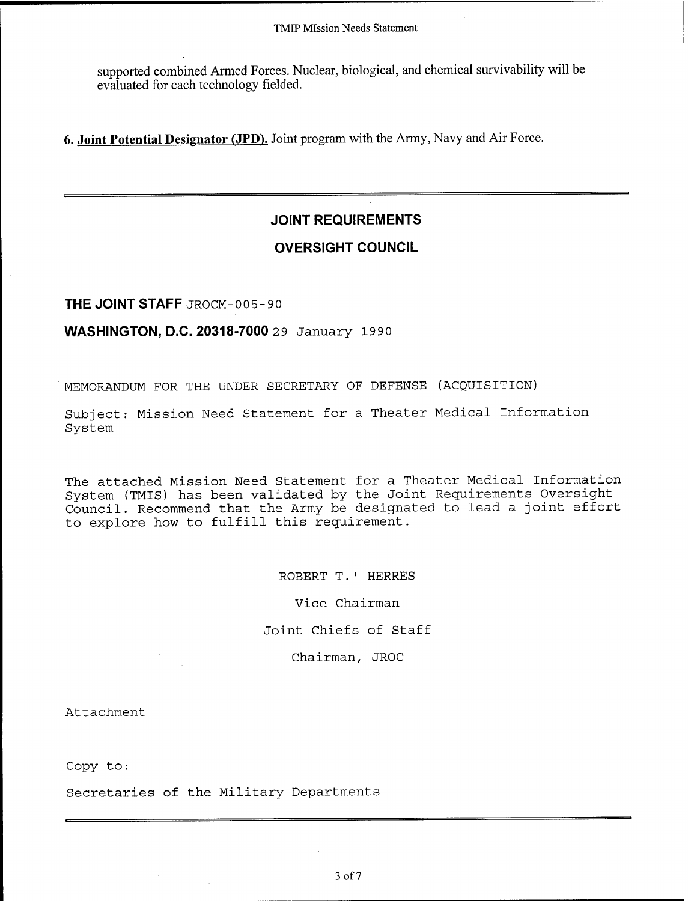#### TMIP Mission Needs Statement

supported combined Armed Forces. Nuclear, biological, and chemical survivability will be evaluated for each technology fielded.

**6. Joint Potential Designator (JPD).** Joint program with the Army, Navy and Air Force.

# **JOINT REQUIREMENTS**

# **OVERSIGHT COUNCIL**

**THE JOINT STAFF** JROCM- 005-90

## **WASHINGTON, D.C. 20318-7000** <sup>2</sup> <sup>9</sup> January 1990

MEMORANDUM FOR THE UNDER SECRETARY OF DEFENSE (ACQUISITION)

Subject: Mission Need Statement for a Theater Medical Information System

The attached Mission Need Statement for a Theater Medical Information System (TMIS) has been validated by the Joint Requirements Oversight Council. Recommend that the Army be designated to lead a joint effort to explore how to fulfill this requirement.

> ROBERT T.' HERRES Vice Chairman Joint Chiefs of Staff Chairman, JROC

Attachment

Copy to:

Secretaries of the Military Departments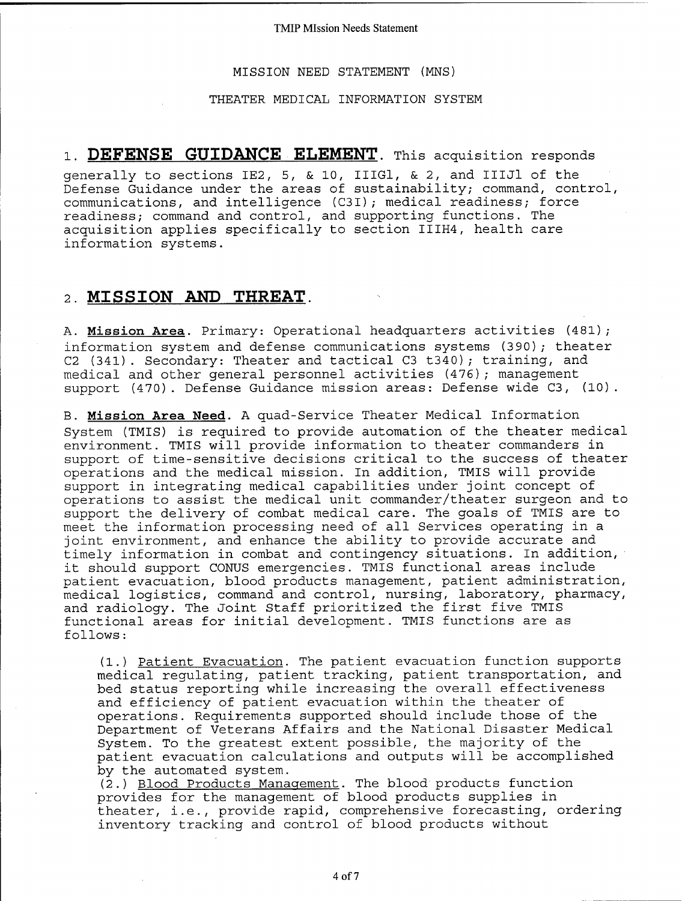TMIP Mission Needs Statement

MISSION NEED STATEMENT (MNS)

THEATER MEDICAL INFORMATION SYSTEM

# 1. DEFENSE GUIDANCE ELEMENT. This acquisition responds

generally to sections IE2, 5, & 10, IIIGl, & 2, and IIIJl of the Defense Guidance under the areas of sustainability; command, control, communications, and intelligence (C3I) ; medical readiness; force readiness; command and control, and supporting functions. The acquisition applies specifically to section IIIH4, health care information systems.

## **2. MISSION AND THREAT.**

A. **Mission Area.** Primary: Operational headquarters activities (481); information system and defense communications systems (390); theater C2 (341). Secondary: Theater and tactical C3 t340); training, and medical and other general personnel activities (476); management support (470). Defense Guidance mission areas: Defense wide C3, (10).

B. **Mission Area Need.** A quad-Service Theater Medical Information System (TMIS) is required to provide automation of the theater medical environment. TMIS will provide information to theater commanders in support of time-sensitive decisions critical to the success of theater operations and the medical mission. In addition, TMIS will provide support in integrating medical capabilities under joint concept of operations to assist the medical unit commander/theater surgeon and to support the delivery of combat medical care. The goals of TMIS are to meet the information processing need of all Services operating in a joint environment, and enhance the ability to provide accurate and timely information in combat and contingency situations. In addition, it should support CONUS emergencies. TMIS functional areas include patient evacuation, blood products management, patient administration, medical logistics, command and control, nursing, laboratory, pharmacy, and radiology. The Joint Staff prioritized the first five TMIS functional areas for initial development. TMIS functions are as follows:

(1.) Patient Evacuation. The patient evacuation function supports medical regulating, patient tracking, patient transportation, and bed status reporting while increasing the overall effectiveness and efficiency of patient evacuation within the theater of operations. Requirements supported should include those of the Department of Veterans Affairs and the National Disaster Medical System. To the greatest extent possible, the majority of the patient evacuation calculations and outputs will be accomplished by the automated system.

(2.) Blood Products Management. The blood products function provides for the management of blood products supplies in theater, i.e., provide rapid, comprehensive forecasting, ordering inventory tracking and control of blood products without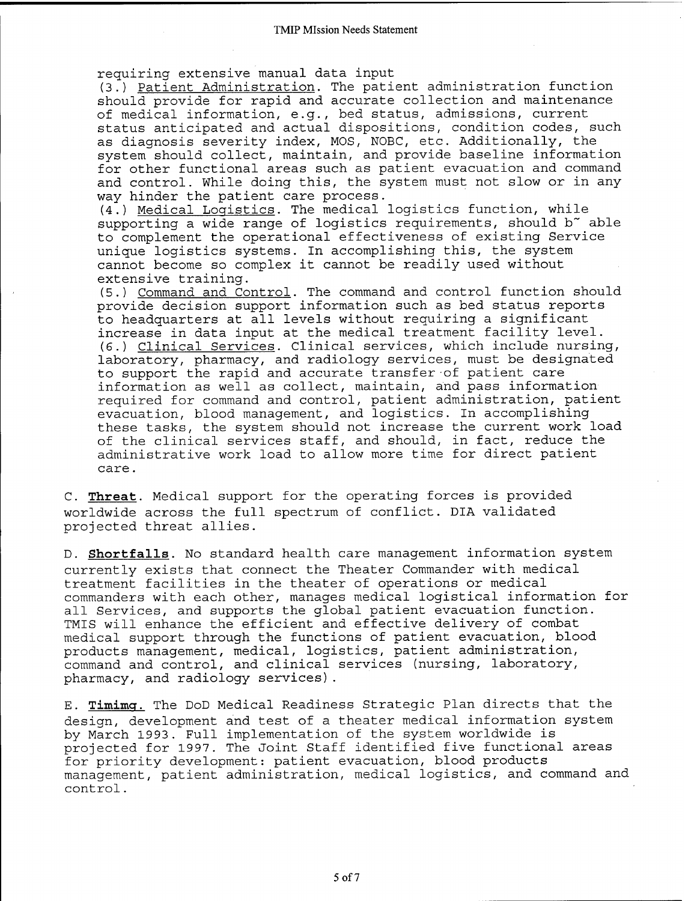requiring extensive manual data input

(3.) Patient Administration. The patient administration function should provide for rapid and accurate collection and maintenance of medical information, e.g., bed status, admissions, current status anticipated and actual dispositions, condition codes, such as diagnosis severity index, MOS, NOBC, etc. Additionally, the system should collect, maintain, and provide baseline information for other functional areas such as patient evacuation and command and control. While doing this, the system must not slow or in any way hinder the patient care process.

(4.) Medical Logistics. The medical logistics function, while supporting a wide range of logistics requirements, should b" able to complement the operational effectiveness of existing Service unique logistics systems. In accomplishing this, the system cannot become so complex it cannot be readily used without extensive training.

(5.) Command and Control. The command and control function should provide decision support information such as bed status reports to headquarters at all levels without requiring a significant increase in data input at the medical treatment facility level. (6.) Clinical Services. Clinical services, which include nursing, laboratory, pharmacy, and radiology services, must be designated to support the rapid and accurate transfer of patient care information as well as collect, maintain, and pass information required for command and control, patient administration, patient evacuation, blood management, and logistics. In accomplishing these tasks, the system should not increase the current work load of the clinical services staff, and should, in fact, reduce the administrative work load to allow more time for direct patient care.

C. Threat. Medical support for the operating forces is provided worldwide across the full spectrum of conflict. DIA validated projected threat allies.

D. Shortfalls. No standard health care management information system currently exists that connect the Theater Commander with medical treatment facilities in the theater of operations or medical commanders with each other, manages medical logistical information for all Services, and supports the global patient evacuation function. TMIS will enhance the efficient and effective delivery of combat medical support through the functions of patient evacuation, blood products management, medical, logistics, patient administration, command and control, and clinical services (nursing, laboratory, pharmacy, and radiology services).

E. Timimg. The DoD Medical Readiness Strategic Plan directs that the design, development and test of a theater medical information system by March 1993. Full implementation of the system worldwide is projected for 1997. The Joint Staff identified five functional areas for priority development: patient evacuation, blood products management, patient administration, medical logistics, and command and control.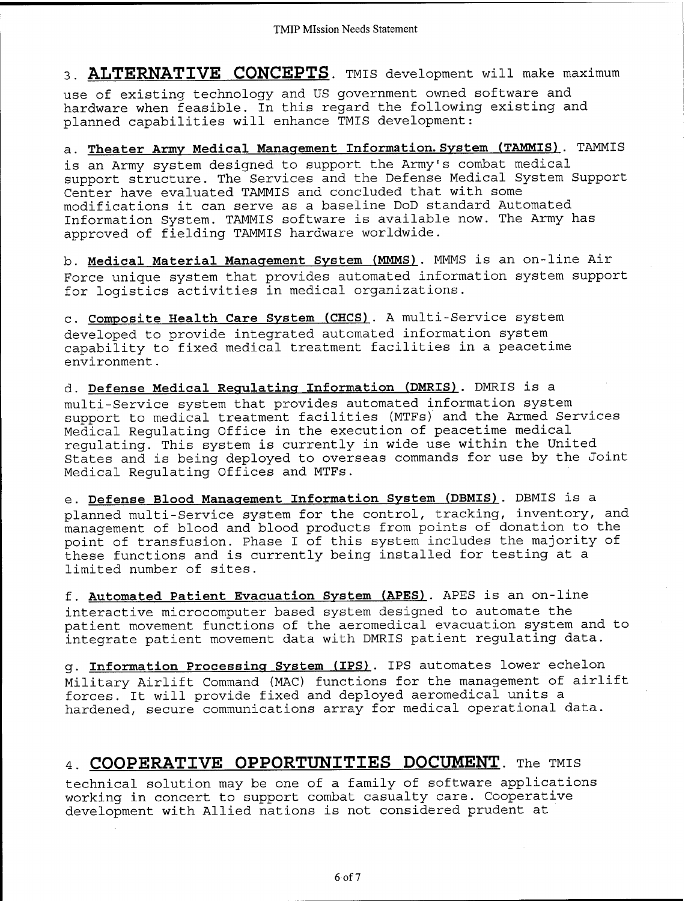**3. ALTERNATIVE CONCEPTS.** THIS development will make maximum

use of existing technology and US government owned software and hardware when feasible. In this regard the following existing and planned capabilities will enhance TMIS development:

a. **Theater Army Medical Management Information. System (TAMMIS)** . TAMMIS is an Army system designed to support the Army's combat medical support structure. The Services and the Defense Medical System Support Center have evaluated TAMMIS and concluded that with some modifications it can serve as a baseline DoD standard Automated Information System. TAMMIS software is available now. The Army has approved of fielding TAMMIS hardware worldwide.

b. **Medical Material Management System (MMMS)**. MMMS is an on-line Air Force unique system that provides automated information system support for logistics activities in medical organizations.

c. **Composite Health Care System (CHCS)**. A multi-Service system developed to provide integrated automated information system capability to fixed medical treatment facilities in a peacetime environment.

d. **Defense Medical Regulating Information (DMRIS)**. DMRIS is a multi-Service system that provides automated information system support to medical treatment facilities (MTFs) and the Armed Services Medical Regulating Office in the execution of peacetime medical regulating. This system is currently in wide use within the United States and is being deployed to overseas commands for use by the Joint Medical Regulating Offices and MTFs.

e. **Defense Blood Management Information System (DBMIS)**. DBMIS is a planned multi-Service system for the control, tracking, inventory, and management of blood and blood products from points of donation to the point of transfusion. Phase <sup>I</sup> of this system includes the majority of these functions and is currently being installed for testing at a limited number of sites.

f. **Automated Patient Evacuation System (APES)**. APES is an on-line interactive microcomputer based system designed to automate the patient movement functions of the aeromedical evacuation system and to integrate patient movement data with DMRIS patient regulating data.

g. **Information Processing System (IPS)**. IPS automates lower echelon Military Airlift Command (MAC) functions for the management of airlift forces. It will provide fixed and deployed aeromedical units a hardened, secure communications array for medical operational data.

# 4. COOPERATIVE OPPORTUNITIES DOCUMENT. The TMIS

technical solution may be one of a family of software applications working in concert to support combat casualty care. Cooperative development with Allied nations is not considered prudent at